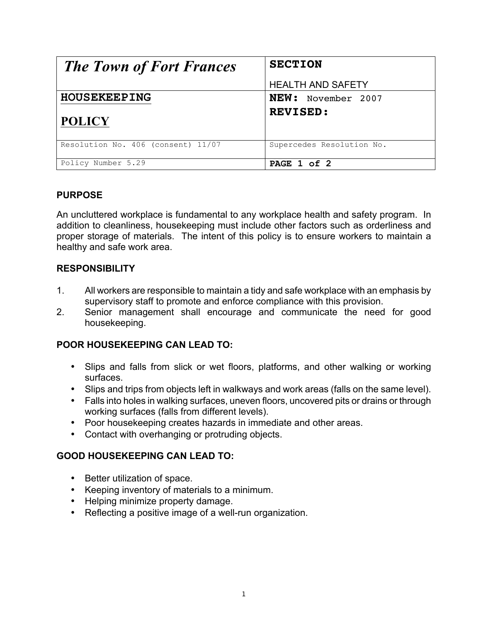| <b>The Town of Fort Frances</b>    | <b>SECTION</b>            |
|------------------------------------|---------------------------|
|                                    | <b>HEALTH AND SAFETY</b>  |
| <b>HOUSEKEEPING</b>                | <b>NEW:</b> November 2007 |
| <b>POLICY</b>                      | <b>REVISED:</b>           |
| Resolution No. 406 (consent) 11/07 | Supercedes Resolution No. |
| Policy Number 5.29                 | PAGE 1 of 2               |

### **PURPOSE**

An uncluttered workplace is fundamental to any workplace health and safety program. In addition to cleanliness, housekeeping must include other factors such as orderliness and proper storage of materials. The intent of this policy is to ensure workers to maintain a healthy and safe work area.

# **RESPONSIBILITY**

- 1. All workers are responsible to maintain a tidy and safe workplace with an emphasis by supervisory staff to promote and enforce compliance with this provision.
- 2. Senior management shall encourage and communicate the need for good housekeeping.

# **POOR HOUSEKEEPING CAN LEAD TO:**

- Slips and falls from slick or wet floors, platforms, and other walking or working surfaces.
- Slips and trips from objects left in walkways and work areas (falls on the same level).
- Falls into holes in walking surfaces, uneven floors, uncovered pits or drains or through working surfaces (falls from different levels).
- Poor housekeeping creates hazards in immediate and other areas.
- Contact with overhanging or protruding objects.

### **GOOD HOUSEKEEPING CAN LEAD TO:**

- Better utilization of space.
- Keeping inventory of materials to a minimum.
- Helping minimize property damage.
- Reflecting a positive image of a well-run organization.